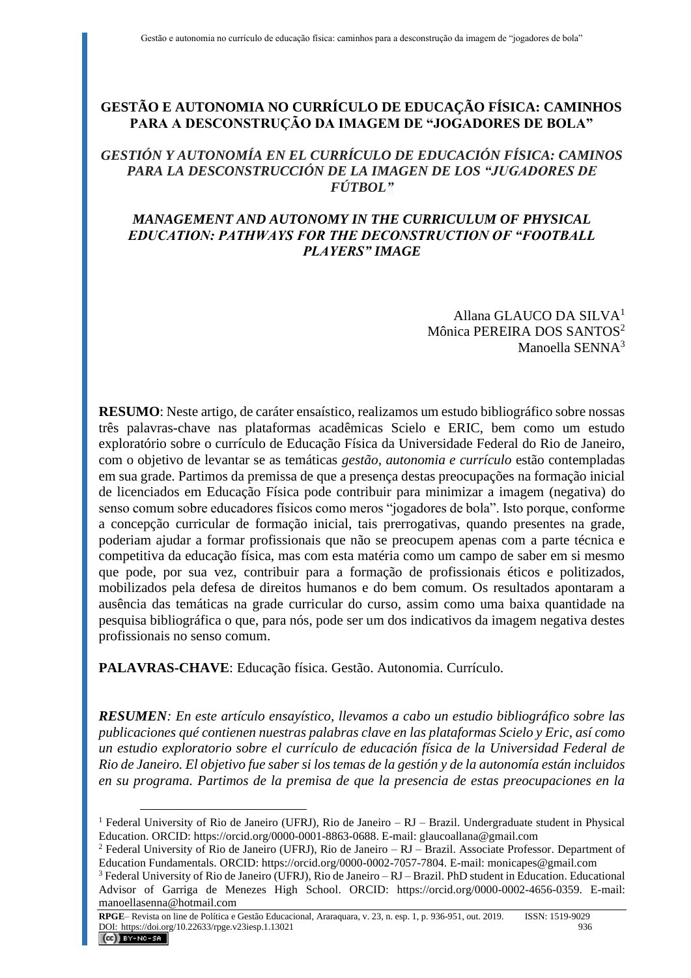# **GESTÃO E AUTONOMIA NO CURRÍCULO DE EDUCAÇÃO FÍSICA: CAMINHOS PARA A DESCONSTRUÇÃO DA IMAGEM DE "JOGADORES DE BOLA"**

# *GESTIÓN Y AUTONOMÍA EN EL CURRÍCULO DE EDUCACIÓN FÍSICA: CAMINOS PARA LA DESCONSTRUCCIÓN DE LA IMAGEN DE LOS "JUGADORES DE FÚTBOL"*

# *MANAGEMENT AND AUTONOMY IN THE CURRICULUM OF PHYSICAL EDUCATION: PATHWAYS FOR THE DECONSTRUCTION OF "FOOTBALL PLAYERS" IMAGE*

Allana GLAUCO DA SILVA<sup>1</sup> Mônica PEREIRA DOS SANTOS<sup>2</sup> Manoella SENNA<sup>3</sup>

**RESUMO**: Neste artigo, de caráter ensaístico, realizamos um estudo bibliográfico sobre nossas três palavras-chave nas plataformas acadêmicas Scielo e ERIC, bem como um estudo exploratório sobre o currículo de Educação Física da Universidade Federal do Rio de Janeiro, com o objetivo de levantar se as temáticas *gestão, autonomia e currículo* estão contempladas em sua grade. Partimos da premissa de que a presença destas preocupações na formação inicial de licenciados em Educação Física pode contribuir para minimizar a imagem (negativa) do senso comum sobre educadores físicos como meros "jogadores de bola". Isto porque, conforme a concepção curricular de formação inicial, tais prerrogativas, quando presentes na grade, poderiam ajudar a formar profissionais que não se preocupem apenas com a parte técnica e competitiva da educação física, mas com esta matéria como um campo de saber em si mesmo que pode, por sua vez, contribuir para a formação de profissionais éticos e politizados, mobilizados pela defesa de direitos humanos e do bem comum. Os resultados apontaram a ausência das temáticas na grade curricular do curso, assim como uma baixa quantidade na pesquisa bibliográfica o que, para nós, pode ser um dos indicativos da imagem negativa destes profissionais no senso comum.

**PALAVRAS-CHAVE**: Educação física. Gestão. Autonomia. Currículo.

*RESUMEN: En este artículo ensayístico, llevamos a cabo un estudio bibliográfico sobre las publicaciones qué contienen nuestras palabras clave en las plataformas Scielo y Eric, así como un estudio exploratorio sobre el currículo de educación física de la Universidad Federal de Rio de Janeiro. El objetivo fue saber si los temas de la gestión y de la autonomía están incluidos en su programa. Partimos de la premisa de que la presencia de estas preocupaciones en la*

<sup>&</sup>lt;sup>1</sup> Federal University of Rio de Janeiro (UFRJ), Rio de Janeiro – RJ – Brazil. Undergraduate student in Physical Education. ORCID: https://orcid.org/0000-0001-8863-0688. E-mail: glaucoallana@gmail.com

 $2$  Federal University of Rio de Janeiro (UFRJ), Rio de Janeiro – RJ – Brazil. Associate Professor. Department of Education Fundamentals. ORCID: https://orcid.org/0000-0002-7057-7804. E-mail: monicapes@gmail.com

<sup>3</sup> Federal University of Rio de Janeiro (UFRJ), Rio de Janeiro – RJ – Brazil. PhD student in Education. Educational Advisor of Garriga de Menezes High School. ORCID: https://orcid.org/0000-0002-4656-0359. E-mail: manoellasenna@hotmail.com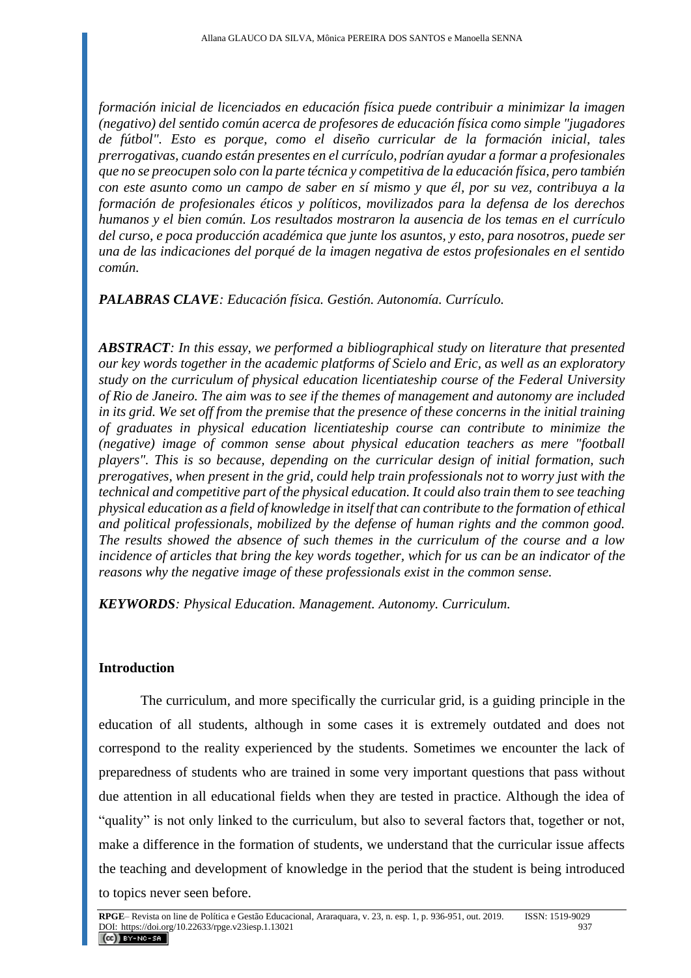*formación inicial de licenciados en educación física puede contribuir a minimizar la imagen (negativo) del sentido común acerca de profesores de educación física como simple "jugadores de fútbol". Esto es porque, como el diseño curricular de la formación inicial, tales prerrogativas, cuando están presentes en el currículo, podrían ayudar a formar a profesionales que no se preocupen solo con la parte técnica y competitiva de la educación física, pero también con este asunto como un campo de saber en sí mismo y que él, por su vez, contribuya a la formación de profesionales éticos y políticos, movilizados para la defensa de los derechos humanos y el bien común. Los resultados mostraron la ausencia de los temas en el currículo del curso, e poca producción académica que junte los asuntos, y esto, para nosotros, puede ser una de las indicaciones del porqué de la imagen negativa de estos profesionales en el sentido común.*

*PALABRAS CLAVE: Educación física. Gestión. Autonomía. Currículo.*

*ABSTRACT: In this essay, we performed a bibliographical study on literature that presented our key words together in the academic platforms of Scielo and Eric, as well as an exploratory study on the curriculum of physical education licentiateship course of the Federal University of Rio de Janeiro. The aim was to see if the themes of management and autonomy are included in its grid. We set off from the premise that the presence of these concerns in the initial training of graduates in physical education licentiateship course can contribute to minimize the (negative) image of common sense about physical education teachers as mere "football players". This is so because, depending on the curricular design of initial formation, such prerogatives, when present in the grid, could help train professionals not to worry just with the technical and competitive part of the physical education. It could also train them to see teaching physical education as a field of knowledge in itself that can contribute to the formation of ethical and political professionals, mobilized by the defense of human rights and the common good. The results showed the absence of such themes in the curriculum of the course and a low incidence of articles that bring the key words together, which for us can be an indicator of the reasons why the negative image of these professionals exist in the common sense.*

*KEYWORDS: Physical Education. Management. Autonomy. Curriculum.*

# **Introduction**

The curriculum, and more specifically the curricular grid, is a guiding principle in the education of all students, although in some cases it is extremely outdated and does not correspond to the reality experienced by the students. Sometimes we encounter the lack of preparedness of students who are trained in some very important questions that pass without due attention in all educational fields when they are tested in practice. Although the idea of "quality" is not only linked to the curriculum, but also to several factors that, together or not, make a difference in the formation of students, we understand that the curricular issue affects the teaching and development of knowledge in the period that the student is being introduced to topics never seen before.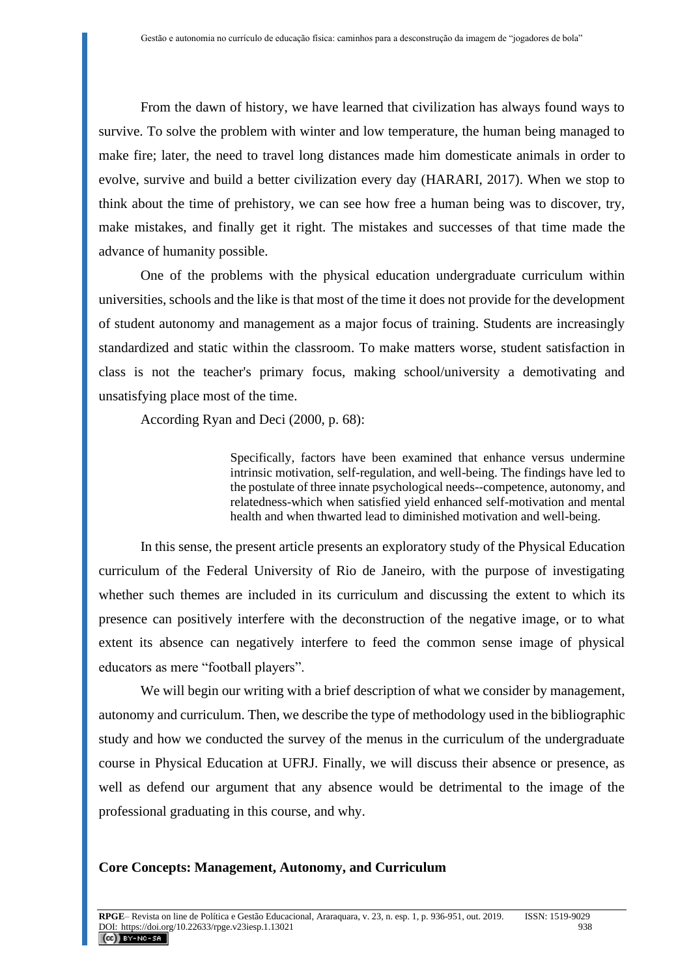From the dawn of history, we have learned that civilization has always found ways to survive. To solve the problem with winter and low temperature, the human being managed to make fire; later, the need to travel long distances made him domesticate animals in order to evolve, survive and build a better civilization every day (HARARI, 2017). When we stop to think about the time of prehistory, we can see how free a human being was to discover, try, make mistakes, and finally get it right. The mistakes and successes of that time made the advance of humanity possible.

One of the problems with the physical education undergraduate curriculum within universities, schools and the like is that most of the time it does not provide for the development of student autonomy and management as a major focus of training. Students are increasingly standardized and static within the classroom. To make matters worse, student satisfaction in class is not the teacher's primary focus, making school/university a demotivating and unsatisfying place most of the time.

According Ryan and Deci (2000, p. 68):

Specifically, factors have been examined that enhance versus undermine intrinsic motivation, self-regulation, and well-being. The findings have led to the postulate of three innate psychological needs--competence, autonomy, and relatedness-which when satisfied yield enhanced self-motivation and mental health and when thwarted lead to diminished motivation and well-being.

In this sense, the present article presents an exploratory study of the Physical Education curriculum of the Federal University of Rio de Janeiro, with the purpose of investigating whether such themes are included in its curriculum and discussing the extent to which its presence can positively interfere with the deconstruction of the negative image, or to what extent its absence can negatively interfere to feed the common sense image of physical educators as mere "football players".

We will begin our writing with a brief description of what we consider by management, autonomy and curriculum. Then, we describe the type of methodology used in the bibliographic study and how we conducted the survey of the menus in the curriculum of the undergraduate course in Physical Education at UFRJ. Finally, we will discuss their absence or presence, as well as defend our argument that any absence would be detrimental to the image of the professional graduating in this course, and why.

#### **Core Concepts: Management, Autonomy, and Curriculum**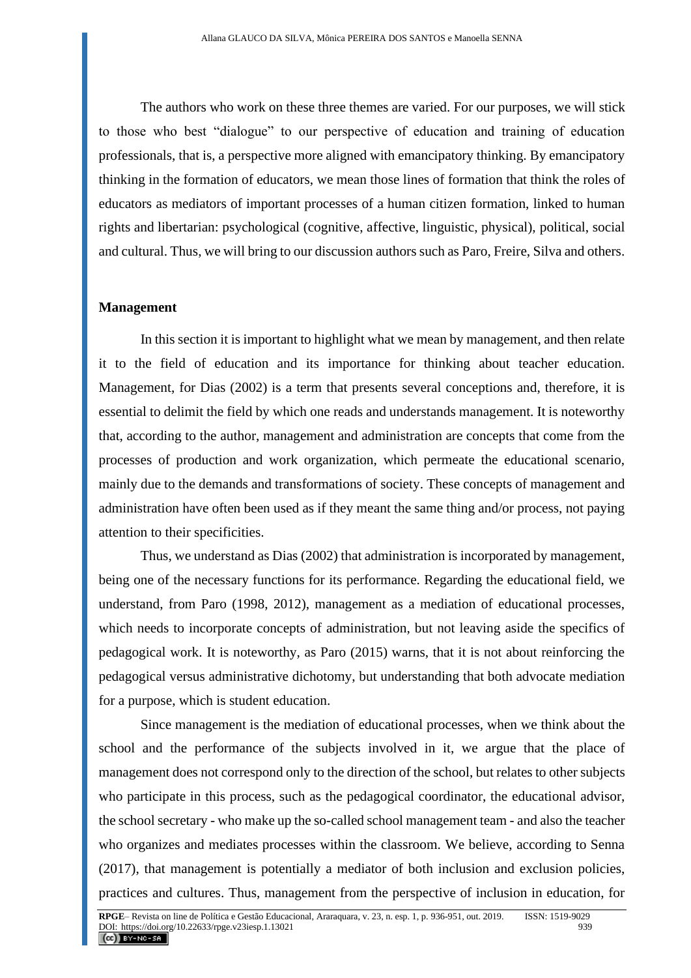The authors who work on these three themes are varied. For our purposes, we will stick to those who best "dialogue" to our perspective of education and training of education professionals, that is, a perspective more aligned with emancipatory thinking. By emancipatory thinking in the formation of educators, we mean those lines of formation that think the roles of educators as mediators of important processes of a human citizen formation, linked to human rights and libertarian: psychological (cognitive, affective, linguistic, physical), political, social and cultural. Thus, we will bring to our discussion authors such as Paro, Freire, Silva and others.

#### **Management**

In this section it is important to highlight what we mean by management, and then relate it to the field of education and its importance for thinking about teacher education. Management, for Dias (2002) is a term that presents several conceptions and, therefore, it is essential to delimit the field by which one reads and understands management. It is noteworthy that, according to the author, management and administration are concepts that come from the processes of production and work organization, which permeate the educational scenario, mainly due to the demands and transformations of society. These concepts of management and administration have often been used as if they meant the same thing and/or process, not paying attention to their specificities.

Thus, we understand as Dias (2002) that administration is incorporated by management, being one of the necessary functions for its performance. Regarding the educational field, we understand, from Paro (1998, 2012), management as a mediation of educational processes, which needs to incorporate concepts of administration, but not leaving aside the specifics of pedagogical work. It is noteworthy, as Paro (2015) warns, that it is not about reinforcing the pedagogical versus administrative dichotomy, but understanding that both advocate mediation for a purpose, which is student education.

Since management is the mediation of educational processes, when we think about the school and the performance of the subjects involved in it, we argue that the place of management does not correspond only to the direction of the school, but relates to other subjects who participate in this process, such as the pedagogical coordinator, the educational advisor, the school secretary - who make up the so-called school management team - and also the teacher who organizes and mediates processes within the classroom. We believe, according to Senna (2017), that management is potentially a mediator of both inclusion and exclusion policies, practices and cultures. Thus, management from the perspective of inclusion in education, for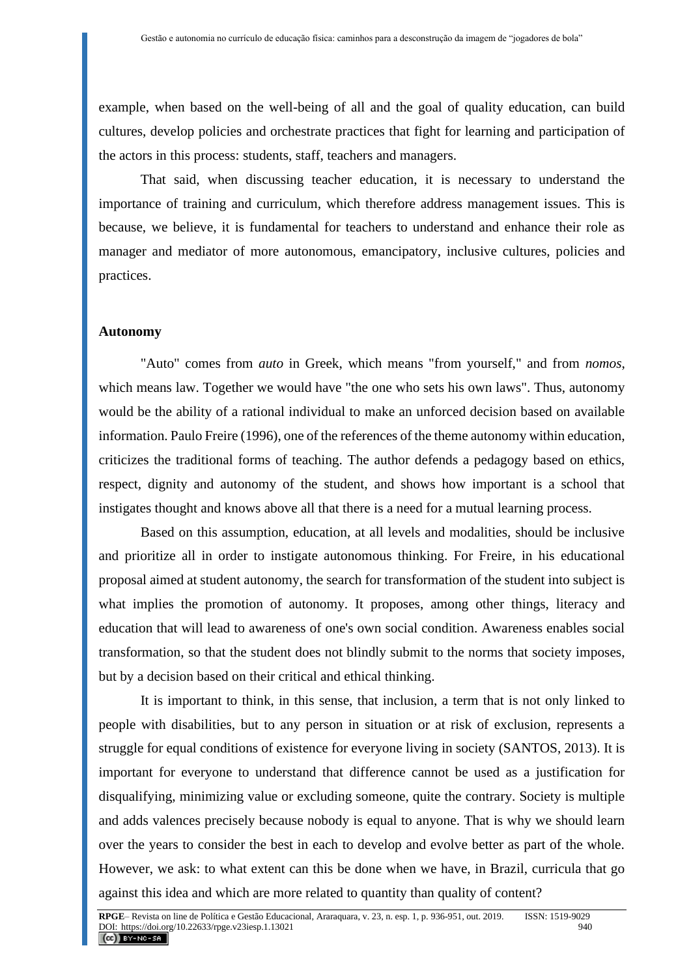example, when based on the well-being of all and the goal of quality education, can build cultures, develop policies and orchestrate practices that fight for learning and participation of the actors in this process: students, staff, teachers and managers.

That said, when discussing teacher education, it is necessary to understand the importance of training and curriculum, which therefore address management issues. This is because, we believe, it is fundamental for teachers to understand and enhance their role as manager and mediator of more autonomous, emancipatory, inclusive cultures, policies and practices.

# **Autonomy**

"Auto" comes from *auto* in Greek, which means "from yourself," and from *nomos*, which means law. Together we would have "the one who sets his own laws". Thus, autonomy would be the ability of a rational individual to make an unforced decision based on available information. Paulo Freire (1996), one of the references of the theme autonomy within education, criticizes the traditional forms of teaching. The author defends a pedagogy based on ethics, respect, dignity and autonomy of the student, and shows how important is a school that instigates thought and knows above all that there is a need for a mutual learning process.

Based on this assumption, education, at all levels and modalities, should be inclusive and prioritize all in order to instigate autonomous thinking. For Freire, in his educational proposal aimed at student autonomy, the search for transformation of the student into subject is what implies the promotion of autonomy. It proposes, among other things, literacy and education that will lead to awareness of one's own social condition. Awareness enables social transformation, so that the student does not blindly submit to the norms that society imposes, but by a decision based on their critical and ethical thinking.

It is important to think, in this sense, that inclusion, a term that is not only linked to people with disabilities, but to any person in situation or at risk of exclusion, represents a struggle for equal conditions of existence for everyone living in society (SANTOS, 2013). It is important for everyone to understand that difference cannot be used as a justification for disqualifying, minimizing value or excluding someone, quite the contrary. Society is multiple and adds valences precisely because nobody is equal to anyone. That is why we should learn over the years to consider the best in each to develop and evolve better as part of the whole. However, we ask: to what extent can this be done when we have, in Brazil, curricula that go against this idea and which are more related to quantity than quality of content?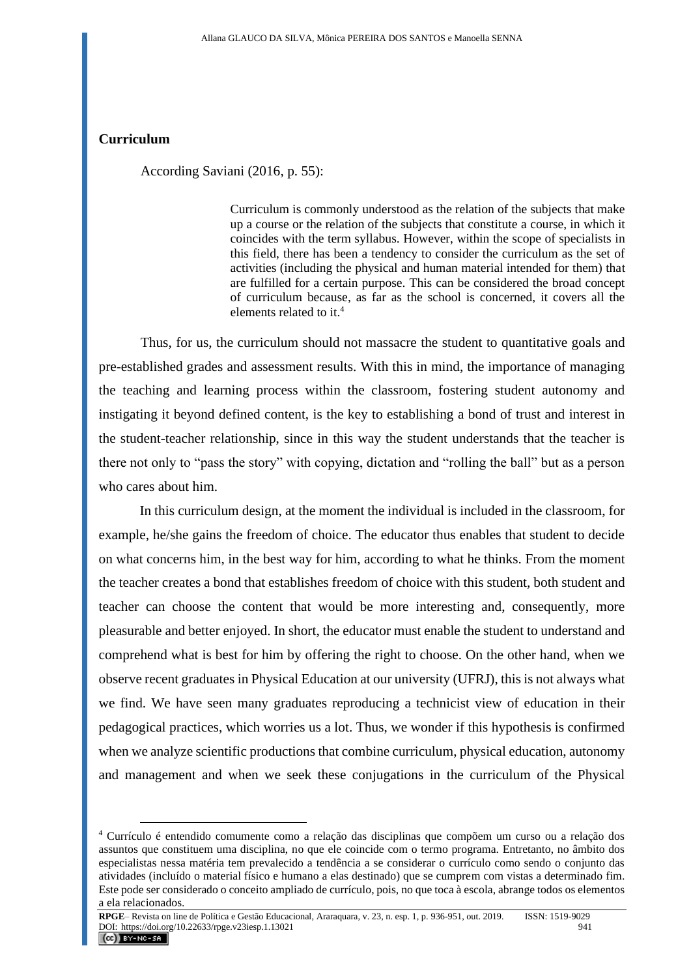### **Curriculum**

According Saviani (2016, p. 55):

Curriculum is commonly understood as the relation of the subjects that make up a course or the relation of the subjects that constitute a course, in which it coincides with the term syllabus. However, within the scope of specialists in this field, there has been a tendency to consider the curriculum as the set of activities (including the physical and human material intended for them) that are fulfilled for a certain purpose. This can be considered the broad concept of curriculum because, as far as the school is concerned, it covers all the elements related to it.<sup>4</sup>

Thus, for us, the curriculum should not massacre the student to quantitative goals and pre-established grades and assessment results. With this in mind, the importance of managing the teaching and learning process within the classroom, fostering student autonomy and instigating it beyond defined content, is the key to establishing a bond of trust and interest in the student-teacher relationship, since in this way the student understands that the teacher is there not only to "pass the story" with copying, dictation and "rolling the ball" but as a person who cares about him.

In this curriculum design, at the moment the individual is included in the classroom, for example, he/she gains the freedom of choice. The educator thus enables that student to decide on what concerns him, in the best way for him, according to what he thinks. From the moment the teacher creates a bond that establishes freedom of choice with this student, both student and teacher can choose the content that would be more interesting and, consequently, more pleasurable and better enjoyed. In short, the educator must enable the student to understand and comprehend what is best for him by offering the right to choose. On the other hand, when we observe recent graduates in Physical Education at our university (UFRJ), this is not always what we find. We have seen many graduates reproducing a technicist view of education in their pedagogical practices, which worries us a lot. Thus, we wonder if this hypothesis is confirmed when we analyze scientific productions that combine curriculum, physical education, autonomy and management and when we seek these conjugations in the curriculum of the Physical

**RPGE**– Revista on line de Política e Gestão Educacional, Araraquara, v. 23, n. esp. 1, p. 936-951, out. 2019. ISSN: 1519-9029<br>DOL: https://doi.org/10.22633/mge.v23iesp. 1.13021 DOI: https://doi.org/10.22633/rpge.v23iesp.1.13021

<sup>4</sup> Currículo é entendido comumente como a relação das disciplinas que compõem um curso ou a relação dos assuntos que constituem uma disciplina, no que ele coincide com o termo programa. Entretanto, no âmbito dos especialistas nessa matéria tem prevalecido a tendência a se considerar o currículo como sendo o conjunto das atividades (incluído o material físico e humano a elas destinado) que se cumprem com vistas a determinado fim. Este pode ser considerado o conceito ampliado de currículo, pois, no que toca à escola, abrange todos os elementos a ela relacionados.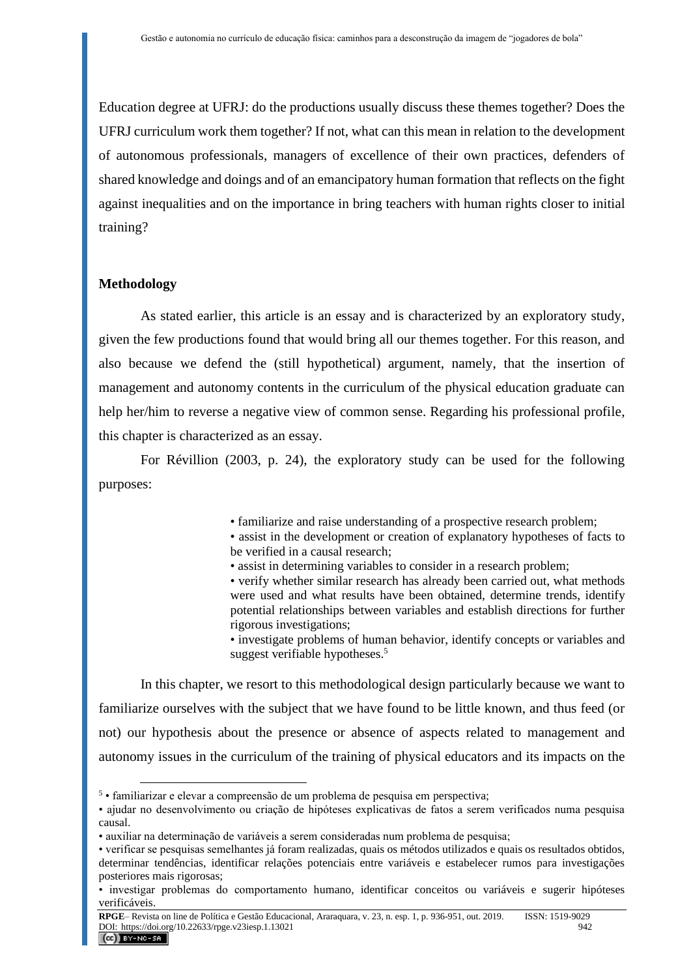Education degree at UFRJ: do the productions usually discuss these themes together? Does the UFRJ curriculum work them together? If not, what can this mean in relation to the development of autonomous professionals, managers of excellence of their own practices, defenders of shared knowledge and doings and of an emancipatory human formation that reflects on the fight against inequalities and on the importance in bring teachers with human rights closer to initial training?

#### **Methodology**

As stated earlier, this article is an essay and is characterized by an exploratory study, given the few productions found that would bring all our themes together. For this reason, and also because we defend the (still hypothetical) argument, namely, that the insertion of management and autonomy contents in the curriculum of the physical education graduate can help her/him to reverse a negative view of common sense. Regarding his professional profile, this chapter is characterized as an essay.

For Révillion (2003, p. 24), the exploratory study can be used for the following purposes:

• familiarize and raise understanding of a prospective research problem;

• assist in the development or creation of explanatory hypotheses of facts to be verified in a causal research;

• assist in determining variables to consider in a research problem;

• verify whether similar research has already been carried out, what methods were used and what results have been obtained, determine trends, identify potential relationships between variables and establish directions for further rigorous investigations;

• investigate problems of human behavior, identify concepts or variables and suggest verifiable hypotheses.<sup>5</sup>

In this chapter, we resort to this methodological design particularly because we want to familiarize ourselves with the subject that we have found to be little known, and thus feed (or not) our hypothesis about the presence or absence of aspects related to management and autonomy issues in the curriculum of the training of physical educators and its impacts on the

<sup>5</sup> • familiarizar e elevar a compreensão de um problema de pesquisa em perspectiva;

<sup>•</sup> ajudar no desenvolvimento ou criação de hipóteses explicativas de fatos a serem verificados numa pesquisa causal.

<sup>•</sup> auxiliar na determinação de variáveis a serem consideradas num problema de pesquisa;

<sup>•</sup> verificar se pesquisas semelhantes já foram realizadas, quais os métodos utilizados e quais os resultados obtidos, determinar tendências, identificar relações potenciais entre variáveis e estabelecer rumos para investigações posteriores mais rigorosas;

<sup>•</sup> investigar problemas do comportamento humano, identificar conceitos ou variáveis e sugerir hipóteses verificáveis.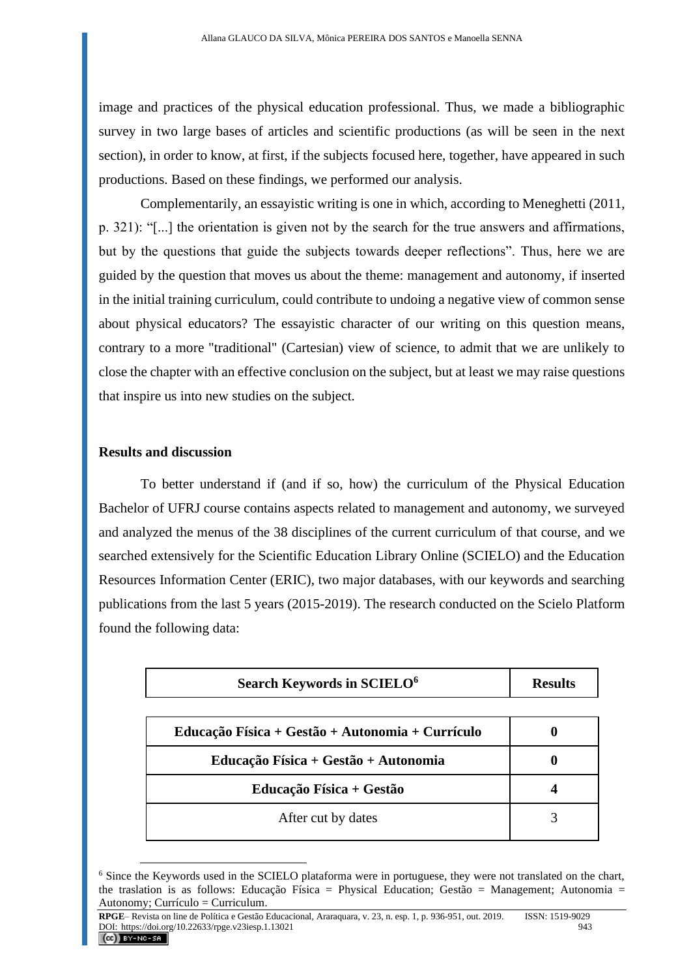image and practices of the physical education professional. Thus, we made a bibliographic survey in two large bases of articles and scientific productions (as will be seen in the next section), in order to know, at first, if the subjects focused here, together, have appeared in such productions. Based on these findings, we performed our analysis.

Complementarily, an essayistic writing is one in which, according to Meneghetti (2011, p. 321): "[...] the orientation is given not by the search for the true answers and affirmations, but by the questions that guide the subjects towards deeper reflections". Thus, here we are guided by the question that moves us about the theme: management and autonomy, if inserted in the initial training curriculum, could contribute to undoing a negative view of common sense about physical educators? The essayistic character of our writing on this question means, contrary to a more "traditional" (Cartesian) view of science, to admit that we are unlikely to close the chapter with an effective conclusion on the subject, but at least we may raise questions that inspire us into new studies on the subject.

#### **Results and discussion**

To better understand if (and if so, how) the curriculum of the Physical Education Bachelor of UFRJ course contains aspects related to management and autonomy, we surveyed and analyzed the menus of the 38 disciplines of the current curriculum of that course, and we searched extensively for the Scientific Education Library Online (SCIELO) and the Education Resources Information Center (ERIC), two major databases, with our keywords and searching publications from the last 5 years (2015-2019). The research conducted on the Scielo Platform found the following data:

| Search Keywords in SCIELO <sup>6</sup>           | <b>Results</b> |
|--------------------------------------------------|----------------|
| Educação Física + Gestão + Autonomia + Currículo |                |
| Educação Física + Gestão + Autonomia             |                |
| Educação Física + Gestão                         |                |
| After cut by dates                               |                |

<sup>6</sup> Since the Keywords used in the SCIELO plataforma were in portuguese, they were not translated on the chart, the traslation is as follows: Educação Física = Physical Education; Gestão = Management; Autonomia = Autonomy; Currículo = Curriculum.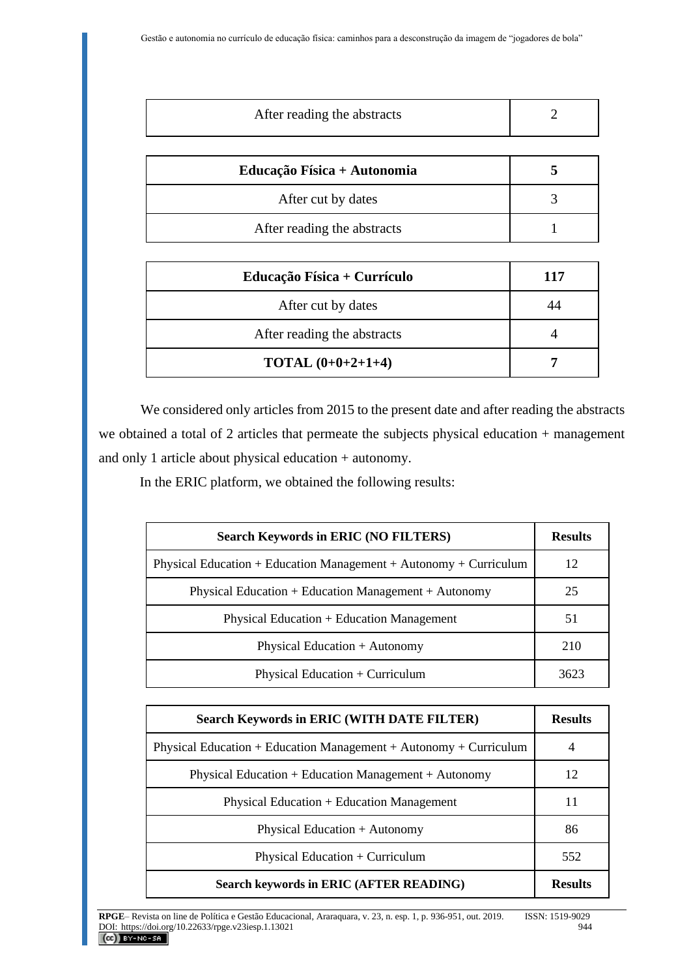| After reading the abstracts |  |
|-----------------------------|--|
| Educação Física + Autonomia |  |
| After cut by dates          |  |
| After reading the abstracts |  |

| Educação Física + Currículo | 117 |
|-----------------------------|-----|
| After cut by dates          |     |
| After reading the abstracts |     |
| <b>TOTAL</b> $(0+0+2+1+4)$  |     |

We considered only articles from 2015 to the present date and after reading the abstracts we obtained a total of 2 articles that permeate the subjects physical education + management and only 1 article about physical education + autonomy.

In the ERIC platform, we obtained the following results:

| <b>Search Keywords in ERIC (NO FILTERS)</b>                       | <b>Results</b> |
|-------------------------------------------------------------------|----------------|
| Physical Education + Education Management + Autonomy + Curriculum | 12             |
| Physical Education + Education Management + Autonomy              | 25             |
| Physical Education + Education Management                         | 51             |
| Physical Education + Autonomy                                     | 210            |
| Physical Education + Curriculum                                   | 3623           |

| <b>Search Keywords in ERIC (WITH DATE FILTER)</b>                 | <b>Results</b> |
|-------------------------------------------------------------------|----------------|
| Physical Education + Education Management + Autonomy + Curriculum |                |
| Physical Education + Education Management + Autonomy              | 12             |
| Physical Education + Education Management                         | 11             |
| Physical Education + Autonomy                                     | 86             |
| Physical Education + Curriculum                                   | 552            |
| Search keywords in ERIC (AFTER READING)                           | <b>Results</b> |

**RPGE**– Revista on line de Política e Gestão Educacional, Araraquara, v. 23, n. esp. 1, p. 936-951, out. 2019. ISSN: 1519-9029 DOI: https://doi.org/10.22633/rpge.v23iesp.1.13021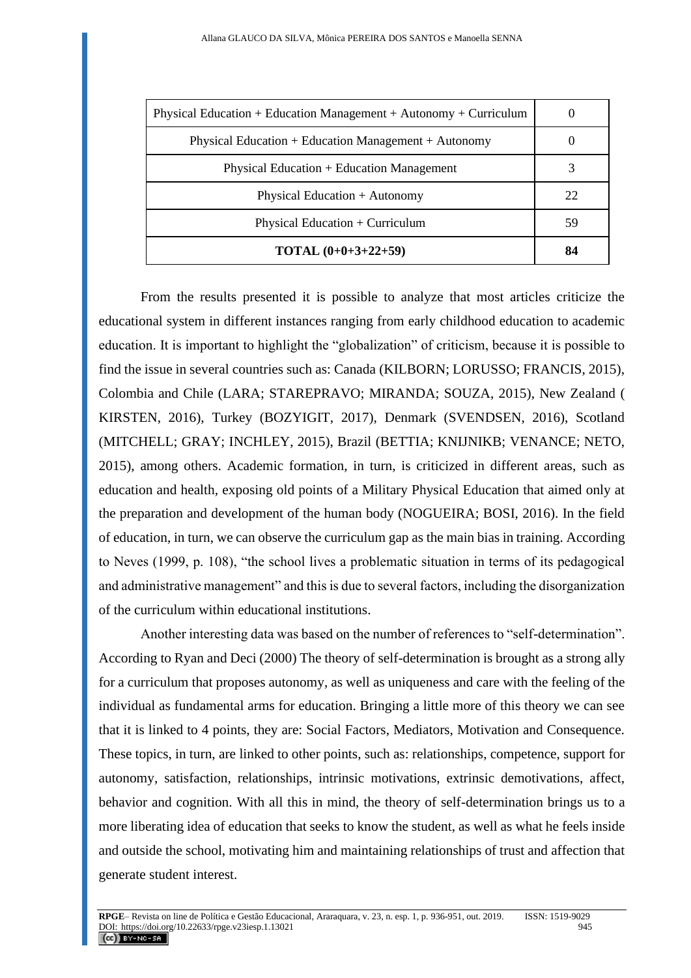| Physical Education + Education Management + Autonomy + Curriculum |    |
|-------------------------------------------------------------------|----|
| Physical Education + Education Management + Autonomy              |    |
| Physical Education + Education Management                         |    |
| Physical Education + Autonomy                                     | 22 |
| Physical Education $+$ Curriculum                                 | 59 |
| <b>TOTAL</b> $(0+0+3+22+59)$                                      | 84 |

From the results presented it is possible to analyze that most articles criticize the educational system in different instances ranging from early childhood education to academic education. It is important to highlight the "globalization" of criticism, because it is possible to find the issue in several countries such as: Canada (KILBORN; LORUSSO; FRANCIS, 2015), Colombia and Chile (LARA; STAREPRAVO; MIRANDA; SOUZA, 2015), New Zealand ( KIRSTEN, 2016), Turkey (BOZYIGIT, 2017), Denmark (SVENDSEN, 2016), Scotland (MITCHELL; GRAY; INCHLEY, 2015), Brazil (BETTIA; KNIJNIKB; VENANCE; NETO, 2015), among others. Academic formation, in turn, is criticized in different areas, such as education and health, exposing old points of a Military Physical Education that aimed only at the preparation and development of the human body (NOGUEIRA; BOSI, 2016). In the field of education, in turn, we can observe the curriculum gap as the main bias in training. According to Neves (1999, p. 108), "the school lives a problematic situation in terms of its pedagogical and administrative management" and this is due to several factors, including the disorganization of the curriculum within educational institutions.

Another interesting data was based on the number of references to "self-determination". According to Ryan and Deci (2000) The theory of self-determination is brought as a strong ally for a curriculum that proposes autonomy, as well as uniqueness and care with the feeling of the individual as fundamental arms for education. Bringing a little more of this theory we can see that it is linked to 4 points, they are: Social Factors, Mediators, Motivation and Consequence. These topics, in turn, are linked to other points, such as: relationships, competence, support for autonomy, satisfaction, relationships, intrinsic motivations, extrinsic demotivations, affect, behavior and cognition. With all this in mind, the theory of self-determination brings us to a more liberating idea of education that seeks to know the student, as well as what he feels inside and outside the school, motivating him and maintaining relationships of trust and affection that generate student interest.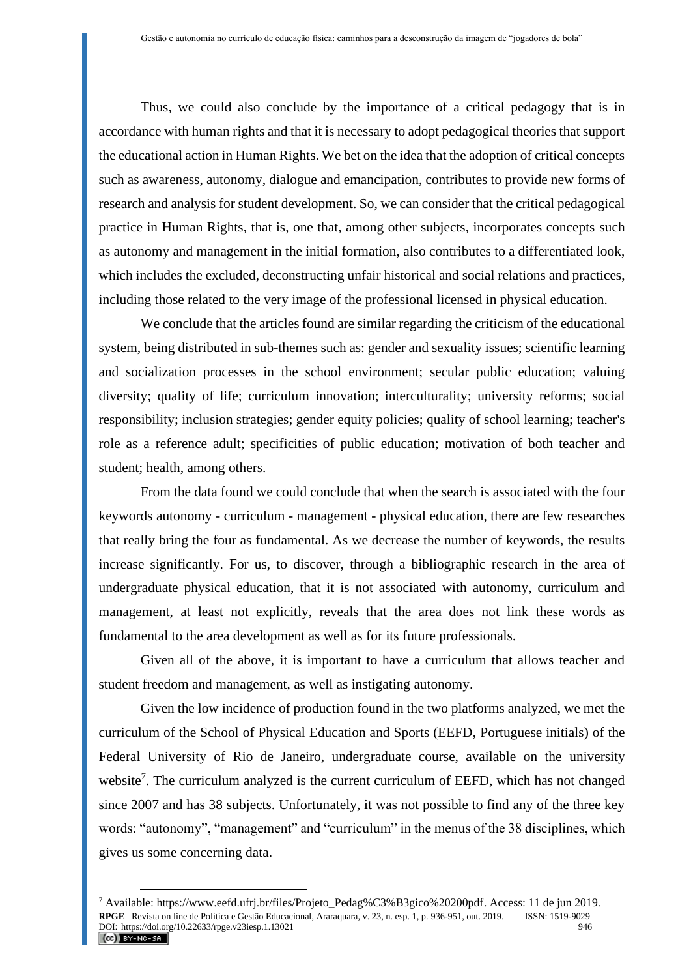Thus, we could also conclude by the importance of a critical pedagogy that is in accordance with human rights and that it is necessary to adopt pedagogical theories that support the educational action in Human Rights. We bet on the idea that the adoption of critical concepts such as awareness, autonomy, dialogue and emancipation, contributes to provide new forms of research and analysis for student development. So, we can consider that the critical pedagogical practice in Human Rights, that is, one that, among other subjects, incorporates concepts such as autonomy and management in the initial formation, also contributes to a differentiated look, which includes the excluded, deconstructing unfair historical and social relations and practices, including those related to the very image of the professional licensed in physical education.

We conclude that the articles found are similar regarding the criticism of the educational system, being distributed in sub-themes such as: gender and sexuality issues; scientific learning and socialization processes in the school environment; secular public education; valuing diversity; quality of life; curriculum innovation; interculturality; university reforms; social responsibility; inclusion strategies; gender equity policies; quality of school learning; teacher's role as a reference adult; specificities of public education; motivation of both teacher and student; health, among others.

From the data found we could conclude that when the search is associated with the four keywords autonomy - curriculum - management - physical education, there are few researches that really bring the four as fundamental. As we decrease the number of keywords, the results increase significantly. For us, to discover, through a bibliographic research in the area of undergraduate physical education, that it is not associated with autonomy, curriculum and management, at least not explicitly, reveals that the area does not link these words as fundamental to the area development as well as for its future professionals.

Given all of the above, it is important to have a curriculum that allows teacher and student freedom and management, as well as instigating autonomy.

Given the low incidence of production found in the two platforms analyzed, we met the curriculum of the School of Physical Education and Sports (EEFD, Portuguese initials) of the Federal University of Rio de Janeiro, undergraduate course, available on the university website<sup>7</sup>. The curriculum analyzed is the current curriculum of EEFD, which has not changed since 2007 and has 38 subjects. Unfortunately, it was not possible to find any of the three key words: "autonomy", "management" and "curriculum" in the menus of the 38 disciplines, which gives us some concerning data.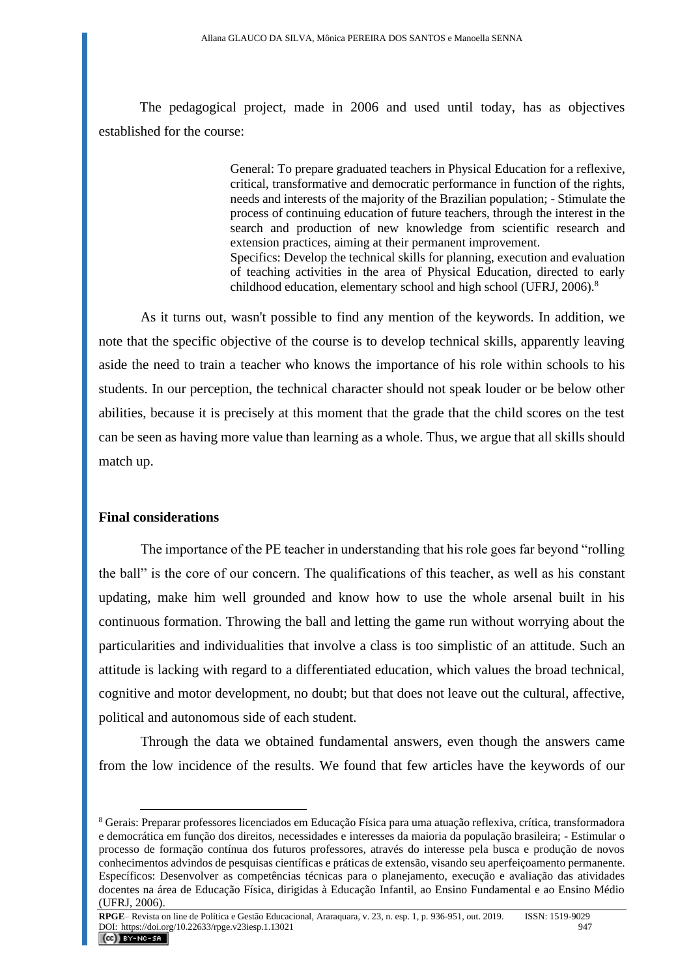The pedagogical project, made in 2006 and used until today, has as objectives established for the course:

> General: To prepare graduated teachers in Physical Education for a reflexive, critical, transformative and democratic performance in function of the rights, needs and interests of the majority of the Brazilian population; - Stimulate the process of continuing education of future teachers, through the interest in the search and production of new knowledge from scientific research and extension practices, aiming at their permanent improvement. Specifics: Develop the technical skills for planning, execution and evaluation of teaching activities in the area of Physical Education, directed to early childhood education, elementary school and high school (UFRJ, 2006).<sup>8</sup>

As it turns out, wasn't possible to find any mention of the keywords. In addition, we note that the specific objective of the course is to develop technical skills, apparently leaving aside the need to train a teacher who knows the importance of his role within schools to his students. In our perception, the technical character should not speak louder or be below other abilities, because it is precisely at this moment that the grade that the child scores on the test can be seen as having more value than learning as a whole. Thus, we argue that all skills should match up.

#### **Final considerations**

The importance of the PE teacher in understanding that his role goes far beyond "rolling the ball" is the core of our concern. The qualifications of this teacher, as well as his constant updating, make him well grounded and know how to use the whole arsenal built in his continuous formation. Throwing the ball and letting the game run without worrying about the particularities and individualities that involve a class is too simplistic of an attitude. Such an attitude is lacking with regard to a differentiated education, which values the broad technical, cognitive and motor development, no doubt; but that does not leave out the cultural, affective, political and autonomous side of each student.

Through the data we obtained fundamental answers, even though the answers came from the low incidence of the results. We found that few articles have the keywords of our

<sup>8</sup> Gerais: Preparar professores licenciados em Educação Física para uma atuação reflexiva, crítica, transformadora e democrática em função dos direitos, necessidades e interesses da maioria da população brasileira; - Estimular o processo de formação contínua dos futuros professores, através do interesse pela busca e produção de novos conhecimentos advindos de pesquisas científicas e práticas de extensão, visando seu aperfeiçoamento permanente. Específicos: Desenvolver as competências técnicas para o planejamento, execução e avaliação das atividades docentes na área de Educação Física, dirigidas à Educação Infantil, ao Ensino Fundamental e ao Ensino Médio (UFRJ, 2006).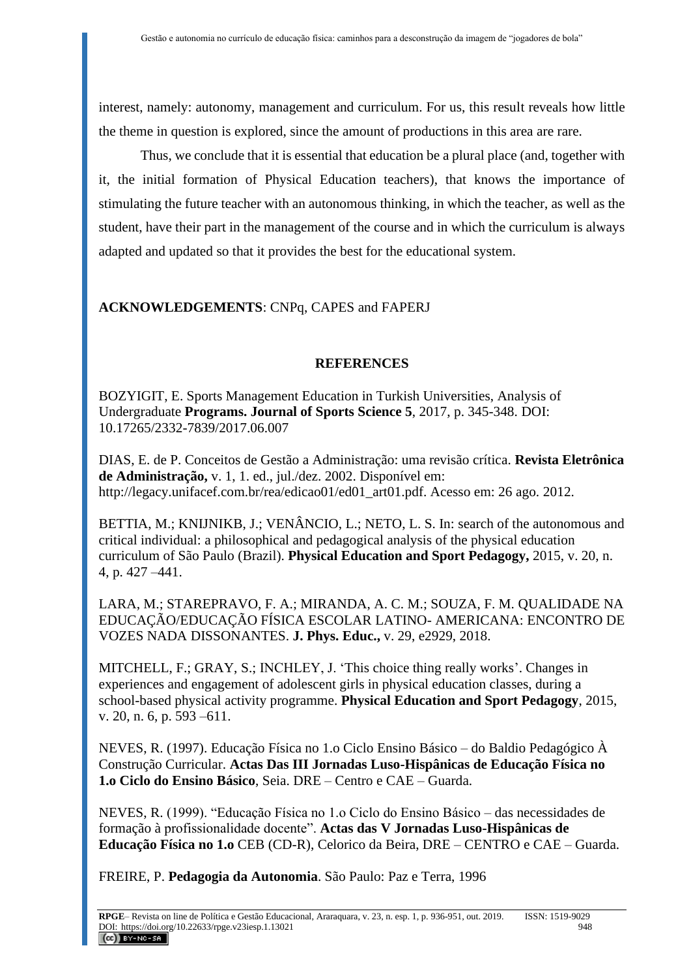interest, namely: autonomy, management and curriculum. For us, this result reveals how little the theme in question is explored, since the amount of productions in this area are rare.

Thus, we conclude that it is essential that education be a plural place (and, together with it, the initial formation of Physical Education teachers), that knows the importance of stimulating the future teacher with an autonomous thinking, in which the teacher, as well as the student, have their part in the management of the course and in which the curriculum is always adapted and updated so that it provides the best for the educational system.

# **ACKNOWLEDGEMENTS**: CNPq, CAPES and FAPERJ

# **REFERENCES**

BOZYIGIT, E. Sports Management Education in Turkish Universities, Analysis of Undergraduate **Programs. Journal of Sports Science 5**, 2017, p. 345-348. DOI: 10.17265/2332-7839/2017.06.007

DIAS, E. de P. Conceitos de Gestão a Administração: uma revisão crítica. **Revista Eletrônica de Administração,** v. 1, 1. ed., jul./dez. 2002. Disponível em: http://legacy.unifacef.com.br/rea/edicao01/ed01\_art01.pdf. Acesso em: 26 ago. 2012.

BETTIA, M.; KNIJNIKB, J.; VENÂNCIO, L.; NETO, L. S. In: search of the autonomous and critical individual: a philosophical and pedagogical analysis of the physical education curriculum of São Paulo (Brazil). **Physical Education and Sport Pedagogy,** 2015, v. 20, n. 4, p. 427 –441.

LARA, M.; STAREPRAVO, F. A.; MIRANDA, A. C. M.; SOUZA, F. M. QUALIDADE NA EDUCAÇÃO/EDUCAÇÃO FÍSICA ESCOLAR LATINO- AMERICANA: ENCONTRO DE VOZES NADA DISSONANTES. **J. Phys. Educ.,** v. 29, e2929, 2018.

MITCHELL, F.; GRAY, S.; INCHLEY, J. 'This choice thing really works'. Changes in experiences and engagement of adolescent girls in physical education classes, during a school-based physical activity programme. **Physical Education and Sport Pedagogy**, 2015, v. 20, n. 6, p. 593 –611.

NEVES, R. (1997). Educação Física no 1.o Ciclo Ensino Básico – do Baldio Pedagógico À Construção Curricular. **Actas Das III Jornadas Luso-Hispânicas de Educação Física no 1.o Ciclo do Ensino Básico**, Seia. DRE – Centro e CAE – Guarda.

NEVES, R. (1999). "Educação Física no 1.o Ciclo do Ensino Básico – das necessidades de formação à profissionalidade docente". **Actas das V Jornadas Luso-Hispânicas de Educação Física no 1.o** CEB (CD-R), Celorico da Beira, DRE – CENTRO e CAE – Guarda.

FREIRE, P. **Pedagogia da Autonomia**. São Paulo: Paz e Terra, 1996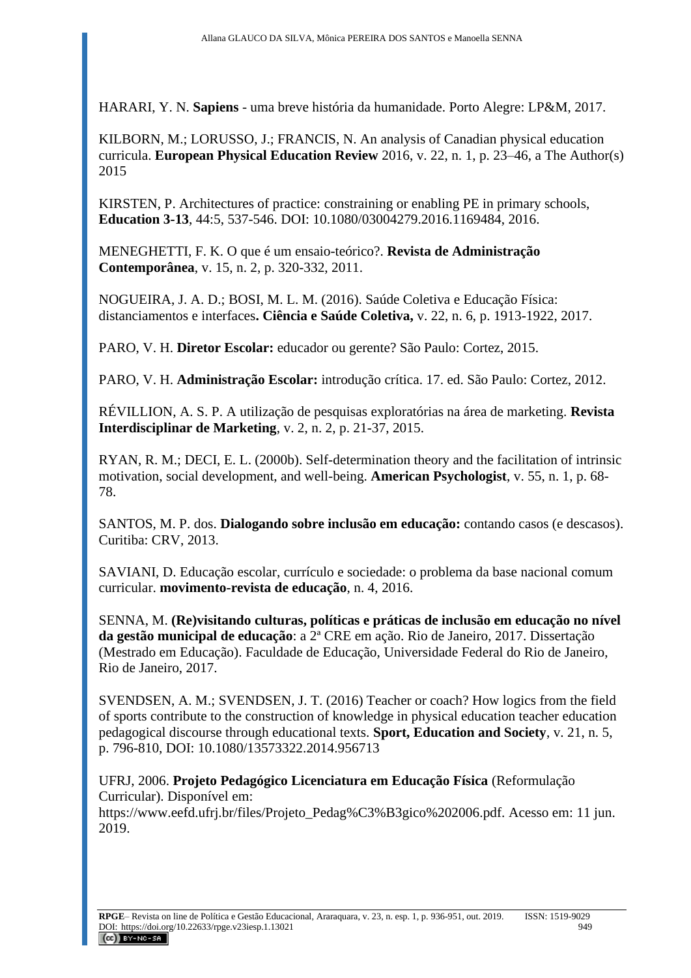HARARI, Y. N. **Sapiens** - uma breve história da humanidade. Porto Alegre: LP&M, 2017.

KILBORN, M.; LORUSSO, J.; FRANCIS, N. An analysis of Canadian physical education curricula. **European Physical Education Review** 2016, v. 22, n. 1, p. 23–46, a The Author(s) 2015

KIRSTEN, P. Architectures of practice: constraining or enabling PE in primary schools, **Education 3-13**, 44:5, 537-546. DOI: 10.1080/03004279.2016.1169484, 2016.

MENEGHETTI, F. K. O que é um ensaio-teórico?. **Revista de Administração Contemporânea**, v. 15, n. 2, p. 320-332, 2011.

NOGUEIRA, J. A. D.; BOSI, M. L. M. (2016). Saúde Coletiva e Educação Física: distanciamentos e interfaces**. Ciência e Saúde Coletiva,** v. 22, n. 6, p. 1913-1922, 2017.

PARO, V. H. **Diretor Escolar:** educador ou gerente? São Paulo: Cortez, 2015.

PARO, V. H. **Administração Escolar:** introdução crítica. 17. ed. São Paulo: Cortez, 2012.

RÉVILLION, A. S. P. A utilização de pesquisas exploratórias na área de marketing. **Revista Interdisciplinar de Marketing**, v. 2, n. 2, p. 21-37, 2015.

RYAN, R. M.; DECI, E. L. (2000b). Self-determination theory and the facilitation of intrinsic motivation, social development, and well-being. **American Psychologist**, v. 55, n. 1, p. 68- 78.

SANTOS, M. P. dos. **Dialogando sobre inclusão em educação:** contando casos (e descasos). Curitiba: CRV, 2013.

SAVIANI, D. Educação escolar, currículo e sociedade: o problema da base nacional comum curricular. **movimento-revista de educação**, n. 4, 2016.

SENNA, M. **(Re)visitando culturas, políticas e práticas de inclusão em educação no nível da gestão municipal de educação**: a 2ª CRE em ação. Rio de Janeiro, 2017. Dissertação (Mestrado em Educação). Faculdade de Educação, Universidade Federal do Rio de Janeiro, Rio de Janeiro, 2017.

SVENDSEN, A. M.; SVENDSEN, J. T. (2016) Teacher or coach? How logics from the field of sports contribute to the construction of knowledge in physical education teacher education pedagogical discourse through educational texts. **Sport, Education and Society**, v. 21, n. 5, p. 796-810, DOI: 10.1080/13573322.2014.956713

UFRJ, 2006. **Projeto Pedagógico Licenciatura em Educação Física** (Reformulação Curricular). Disponível em:

[https://www.eefd.ufrj.br/files/Projeto\\_Pedag%C3%B3gico%202006.pdf.](https://www.eefd.ufrj.br/files/Projeto_Pedag%C3%B3gico%202006.pdf) Acesso em: 11 jun. 2019.